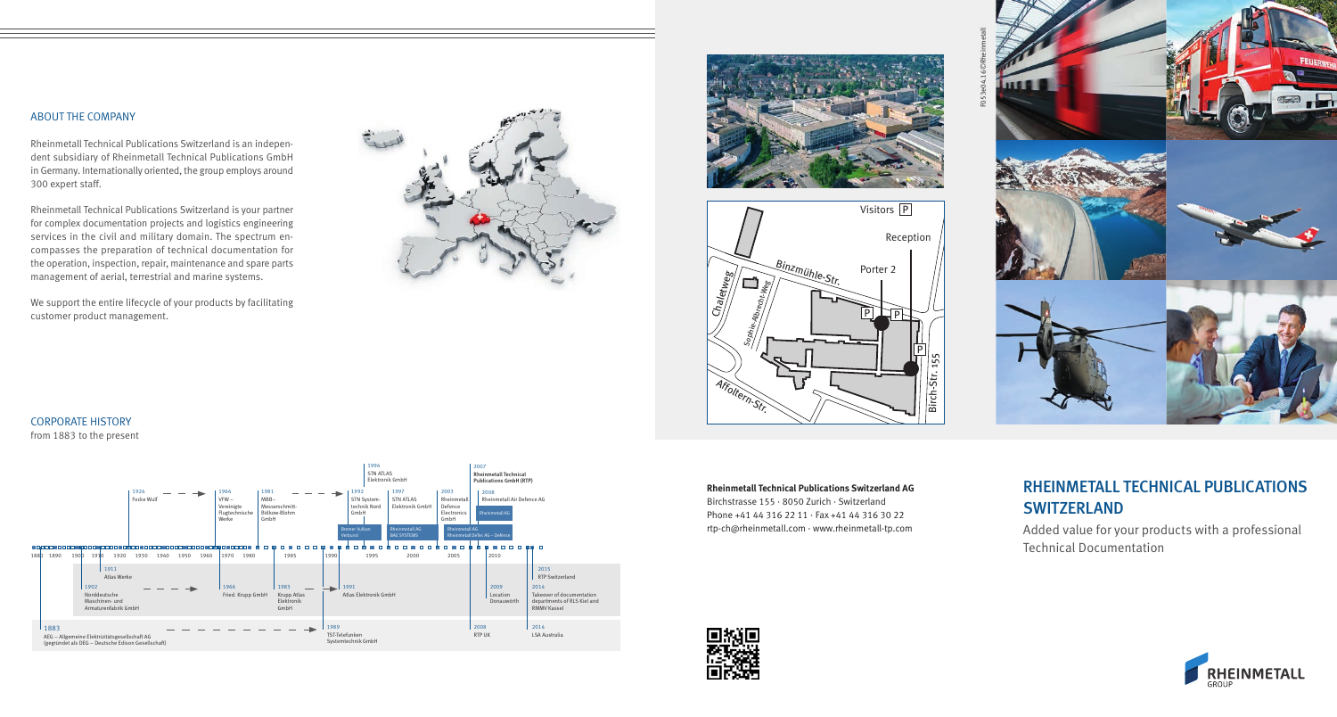#### ABOUT THE COMPANY

Rheinmetall Technical Publications Switzerland is an independent subsidiary of Rheinmetall Technical Publications GmbH in Germany. Internationally oriented, the group employs around 300 expert staff.

Rheinmetall Technical Publications Switzerland is your partner for complex documentation projects and logistics engineering services in the civil and military domain. The spectrum encompasses the preparation of technical documentation for the operation, inspection, repair, maintenance and spare parts management of aerial, terrestrial and marine systems.

We support the entire lifecycle of your products by facilitating customer product management.









#### CORPORATE HISTORY from 1883 to the present



**Rheinmetall Technical Publications Switzerland AG** Birchstrasse 155 · 8050 Zurich · Switzerland

Phone +41 44 316 22 11 · Fax +41 44 316 30 22 rtp-ch@rheinmetall.com · www.rheinmetall-tp.com lX +<br>vw.

# RHEINMETALL TECHNICAL PUBLICATIONS **SWITZERLAND**

Added value for your products with a professional Technical Documentation